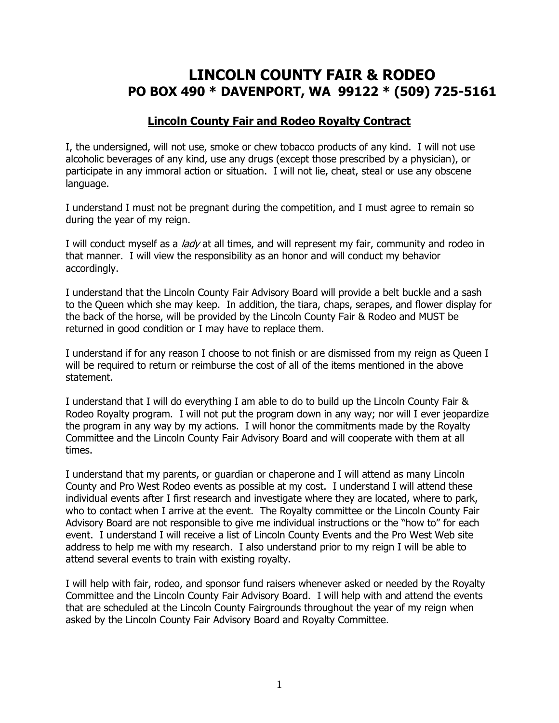# **LINCOLN COUNTY FAIR & RODEO PO BOX 490 \* DAVENPORT, WA 99122 \* (509) 725-5161**

#### **Lincoln County Fair and Rodeo Royalty Contract**

I, the undersigned, will not use, smoke or chew tobacco products of any kind. I will not use alcoholic beverages of any kind, use any drugs (except those prescribed by a physician), or participate in any immoral action or situation. I will not lie, cheat, steal or use any obscene language.

I understand I must not be pregnant during the competition, and I must agree to remain so during the year of my reign.

I will conduct myself as a *lady* at all times, and will represent my fair, community and rodeo in that manner. I will view the responsibility as an honor and will conduct my behavior accordingly.

I understand that the Lincoln County Fair Advisory Board will provide a belt buckle and a sash to the Queen which she may keep. In addition, the tiara, chaps, serapes, and flower display for the back of the horse, will be provided by the Lincoln County Fair & Rodeo and MUST be returned in good condition or I may have to replace them.

I understand if for any reason I choose to not finish or are dismissed from my reign as Queen I will be required to return or reimburse the cost of all of the items mentioned in the above statement.

I understand that I will do everything I am able to do to build up the Lincoln County Fair & Rodeo Royalty program. I will not put the program down in any way; nor will I ever jeopardize the program in any way by my actions. I will honor the commitments made by the Royalty Committee and the Lincoln County Fair Advisory Board and will cooperate with them at all times.

I understand that my parents, or guardian or chaperone and I will attend as many Lincoln County and Pro West Rodeo events as possible at my cost. I understand I will attend these individual events after I first research and investigate where they are located, where to park, who to contact when I arrive at the event. The Royalty committee or the Lincoln County Fair Advisory Board are not responsible to give me individual instructions or the "how to" for each event. I understand I will receive a list of Lincoln County Events and the Pro West Web site address to help me with my research. I also understand prior to my reign I will be able to attend several events to train with existing royalty.

I will help with fair, rodeo, and sponsor fund raisers whenever asked or needed by the Royalty Committee and the Lincoln County Fair Advisory Board. I will help with and attend the events that are scheduled at the Lincoln County Fairgrounds throughout the year of my reign when asked by the Lincoln County Fair Advisory Board and Royalty Committee.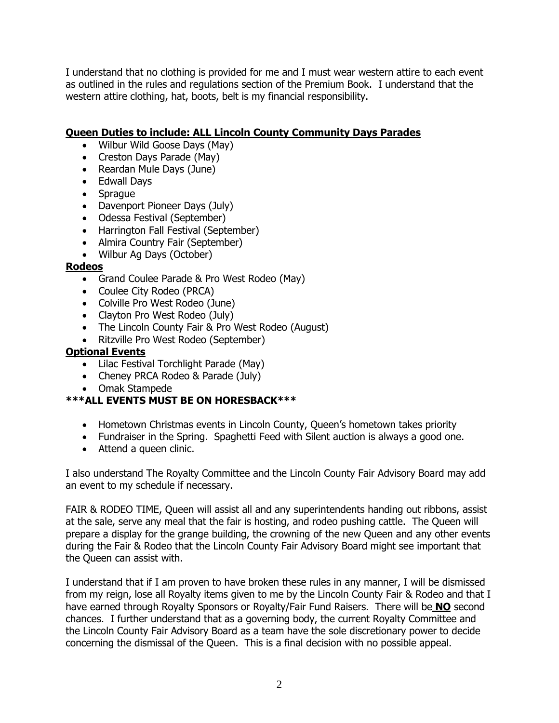I understand that no clothing is provided for me and I must wear western attire to each event as outlined in the rules and regulations section of the Premium Book. I understand that the western attire clothing, hat, boots, belt is my financial responsibility.

## **Queen Duties to include: ALL Lincoln County Community Days Parades**

- Wilbur Wild Goose Days (May)
- Creston Days Parade (May)
- Reardan Mule Days (June)
- Edwall Days
- Sprague
- Davenport Pioneer Days (July)
- Odessa Festival (September)
- Harrington Fall Festival (September)
- Almira Country Fair (September)
- Wilbur Ag Days (October)

#### **Rodeos**

- Grand Coulee Parade & Pro West Rodeo (May)
- Coulee City Rodeo (PRCA)
- Colville Pro West Rodeo (June)
- Clayton Pro West Rodeo (July)
- The Lincoln County Fair & Pro West Rodeo (August)
- Ritzville Pro West Rodeo (September)

### **Optional Events**

- Lilac Festival Torchlight Parade (May)
- Cheney PRCA Rodeo & Parade (July)
- Omak Stampede

## **\*\*\*ALL EVENTS MUST BE ON HORESBACK\*\*\***

- Hometown Christmas events in Lincoln County, Queen's hometown takes priority
- Fundraiser in the Spring. Spaghetti Feed with Silent auction is always a good one.
- Attend a queen clinic.

I also understand The Royalty Committee and the Lincoln County Fair Advisory Board may add an event to my schedule if necessary.

FAIR & RODEO TIME, Queen will assist all and any superintendents handing out ribbons, assist at the sale, serve any meal that the fair is hosting, and rodeo pushing cattle. The Queen will prepare a display for the grange building, the crowning of the new Queen and any other events during the Fair & Rodeo that the Lincoln County Fair Advisory Board might see important that the Queen can assist with.

I understand that if I am proven to have broken these rules in any manner, I will be dismissed from my reign, lose all Royalty items given to me by the Lincoln County Fair & Rodeo and that I have earned through Royalty Sponsors or Royalty/Fair Fund Raisers. There will be **NO** second chances. I further understand that as a governing body, the current Royalty Committee and the Lincoln County Fair Advisory Board as a team have the sole discretionary power to decide concerning the dismissal of the Queen. This is a final decision with no possible appeal.